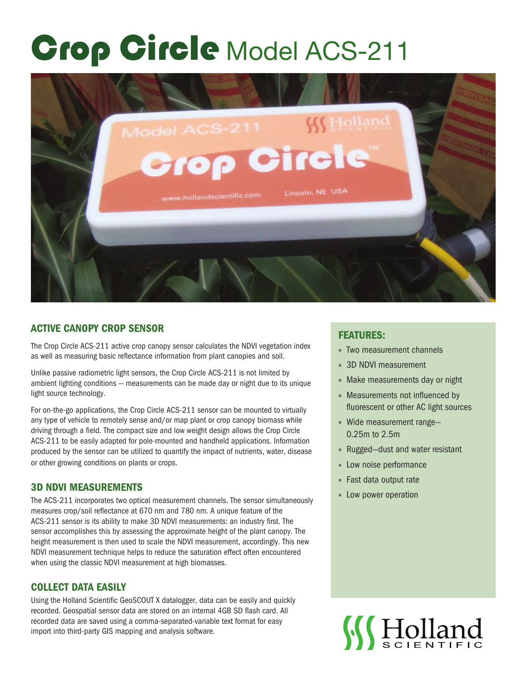# **Grop Girele Model ACS-211**



## ACTIVE CANOPY CROP SENSOR

The Crop Circle ACS-211 active crop canopy sensor calculates the NDVI vegetation index as well as measuring basic reflectance information from plant canopies and soil.

Unlike passive radiometric light sensors, the Crop Circle ACS-211 is not limited by ambient lighting conditions — measurements can be made day or night due to its unique light source technology.

For on-the-go applications, the Crop Circle ACS-211 sensor can be mounted to virtually any type of vehicle to remotely sense and/or map plant or crop canopy biomass while driving through a field. The compact size and low weight design allows the Crop Circle ACS-211 to be easily adapted for pole-mounted and handheld applications. Information produced by the sensor can be utilized to quantify the impact of nutrients, water, disease or other growing conditions on plants or crops.

### 3D NDVI MEASUREMENTS

The ACS-211 incorporates two optical measurement channels. The sensor simultaneously measures crop/soil reflectance at 670 nm and 780 nm. A unique feature of the ACS-211 sensor is its ability to make 3D NDVI measurements: an industry first. The sensor accomplishes this by assessing the approximate height of the plant canopy. The height measurement is then used to scale the NDVI measurement, accordingly. This new NDVI measurement technique helps to reduce the saturation effect often encountered when using the classic NDVI measurement at high biomasses.

### COLLECT DATA EASILY

Using the Holland Scientific GeoSCOUT X datalogger, data can be easily and quickly recorded. Geospatial sensor data are stored on an internal 4GB SD flash card. All recorded data are saved using a comma-separated-variable text format for easy import into third-party GIS mapping and analysis software.

### FEATURES:

- » Two measurement channels
- » 3D NDVI measurement
- » Make measurements day or night
- » Measurements not influenced by fluorescent or other AC light sources
- » Wide measurement range— 0.25m to 2.5m
- » Rugged—dust and water resistant
- » Low noise performance
- » Fast data output rate
- » Low power operation